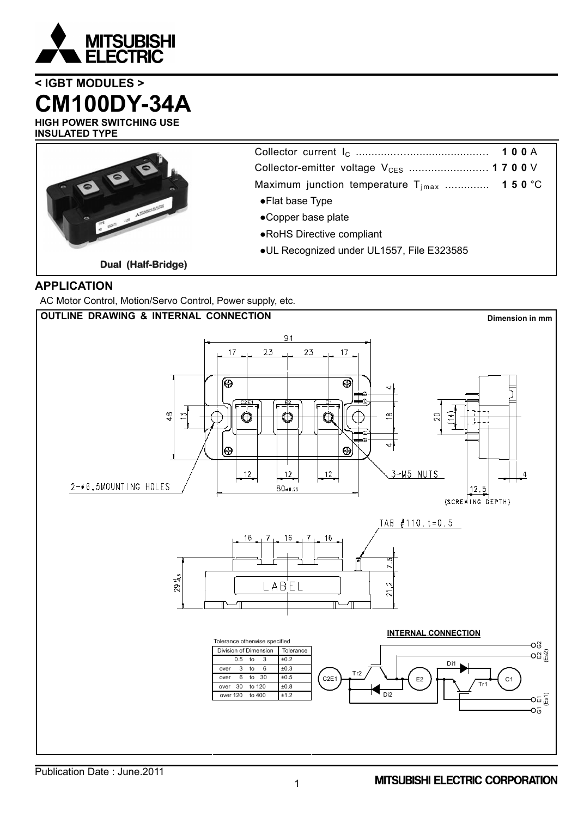

# **< IGBT MODULES > CM100DY-34A**

**HIGH POWER SWITCHING USE INSULATED TYPE**



Collector current IC .............….......................… **100** A Collector-emitter voltage V<sub>CES</sub> ........................ **1700** V Maximum junction temperature T<sub>jmax</sub> ............... **150** °C ●Flat base Type

- ●Copper base plate
- ●RoHS Directive compliant
- ●UL Recognized under UL1557, File E323585

## **APPLICATION**

AC Motor Control, Motion/Servo Control, Power supply, etc.

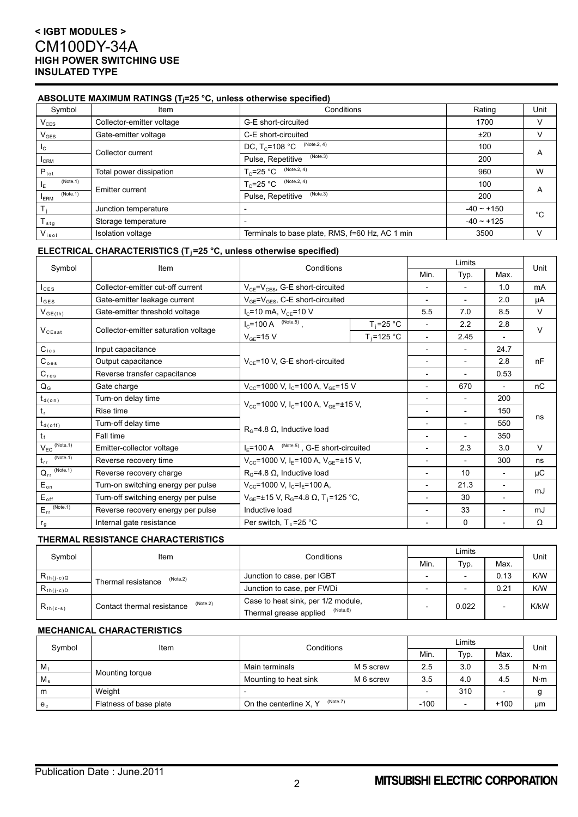### **ABSOLUTE MAXIMUM RATINGS (Tj=25 °C, unless otherwise specified)**

| Symbol                      | <b>Item</b>               | Conditions                                      | Rating          | Unit         |
|-----------------------------|---------------------------|-------------------------------------------------|-----------------|--------------|
| $V_{CES}$                   | Collector-emitter voltage | G-E short-circuited                             | 1700            |              |
| $\mathsf{V}_{\mathsf{GES}}$ | Gate-emitter voltage      | C-E short-circuited                             | ±20             |              |
| Ic.                         | Collector current         | (Note.2, 4)<br>DC, $T_c = 108 °C$               | 100             |              |
| <b>I</b> CRM                |                           | (Note.3)<br>Pulse, Repetitive                   | 200             | A            |
| $P_{\text{tot}}$            | Total power dissipation   | (Note.2, 4)<br>$T_c$ =25 °C                     | 960             | W            |
| (Note.1)<br>ΙF              | <b>Emitter current</b>    | (Note.2, 4)<br>$T_c = 25$ °C                    | 100             |              |
| (Note.1)<br><b>ERM</b>      |                           | (Note.3)<br>Pulse, Repetitive                   | 200             | A            |
|                             | Junction temperature      |                                                 | $-40 - +150$    | °C           |
| $T_{\text{stg}}$            | Storage temperature       |                                                 | $-40 \sim +125$ |              |
| $V_{iso1}$                  | Isolation voltage         | Terminals to base plate, RMS, f=60 Hz, AC 1 min | 3500            | $\mathsf{V}$ |

### **ELECTRICAL CHARACTERISTICS (Tj=25 °C, unless otherwise specified)**

| Symbol                                  | Item                                 | Limits<br>Conditions<br>Min.<br>Typ.                                    |                |                          | Unit                     |                          |        |
|-----------------------------------------|--------------------------------------|-------------------------------------------------------------------------|----------------|--------------------------|--------------------------|--------------------------|--------|
|                                         |                                      |                                                                         |                |                          |                          | Max.                     |        |
| $I_{CES}$                               | Collector-emitter cut-off current    | $V_{CE} = V_{CES}$ , G-E short-circuited                                |                |                          |                          | 1.0                      | mA     |
| $I_{\texttt{GES}}$                      | Gate-emitter leakage current         | $V_{GE} = V_{GES}$ , C-E short-circuited                                |                | $\overline{\phantom{a}}$ |                          | 2.0                      | μA     |
| $\mathsf{V}_{\mathsf{GE}(\mathsf{th})}$ | Gate-emitter threshold voltage       | $I_c$ =10 mA, $V_{CE}$ =10 V                                            |                | 5.5                      | 7.0                      | 8.5                      | $\vee$ |
|                                         |                                      | $I_C$ =100 A (Note.5),                                                  | $T_i = 25 °C$  |                          | 2.2                      | 2.8                      | $\vee$ |
| $V_{CEsat}$                             | Collector-emitter saturation voltage | $V_{GE}$ =15 V                                                          | $T_i = 125$ °C | $\overline{\phantom{a}}$ | 2.45                     | $\overline{\phantom{a}}$ |        |
| $C_{\text{ies}}$                        | Input capacitance                    |                                                                         |                | $\overline{\phantom{0}}$ | $\overline{a}$           | 24.7                     |        |
| $C_{oes}$                               | Output capacitance                   | $V_{CF}$ =10 V, G-E short-circuited                                     |                |                          |                          | 2.8                      | nF     |
| $C_{res}$                               | Reverse transfer capacitance         |                                                                         |                | $\overline{a}$           | $\overline{a}$           | 0.53                     |        |
| $Q_{G}$                                 | Gate charge                          | $V_{CC}$ =1000 V, I <sub>C</sub> =100 A, V <sub>GE</sub> =15 V          |                | $\overline{\phantom{a}}$ | 670                      |                          | nC     |
| $t_{d(on)}$                             | Turn-on delay time                   | $V_{\text{cc}}$ =1000 V, I <sub>C</sub> =100 A, V <sub>GF</sub> =±15 V, |                | $\overline{\phantom{a}}$ | $\overline{\phantom{a}}$ | 200                      | ns     |
| $t_{r}$                                 | Rise time                            |                                                                         |                | $\overline{\phantom{a}}$ | $\overline{\phantom{0}}$ | 150                      |        |
| $t_{d(\text{off})}$                     | Turn-off delay time                  | $RG=4.8 \Omega$ , Inductive load                                        |                | $\overline{\phantom{a}}$ | $\overline{\phantom{a}}$ | 550                      |        |
| $t_{f}$                                 | Fall time                            |                                                                         |                |                          | $\overline{\phantom{a}}$ | 350                      |        |
| $V_{EC}$ (Note.1)                       | Emitter-collector voltage            | $I_F$ =100 A $^{(Note.5)}$ , G-E short-circuited                        |                |                          | 2.3                      | 3.0                      | V      |
| (Note.1)<br>$t_{rr}$                    | Reverse recovery time                | $V_{\text{CC}}$ =1000 V, I <sub>E</sub> =100 A, V <sub>GE</sub> =±15 V, |                |                          | $\overline{\phantom{a}}$ | 300                      | ns     |
| $Q_{rr}$ (Note.1)                       | Reverse recovery charge              | $R_G = 4.8 \Omega$ , Inductive load                                     |                |                          | 10                       | $\overline{\phantom{a}}$ | μC     |
| $E_{on}$                                | Turn-on switching energy per pulse   | $V_{\text{CC}}$ =1000 V, I <sub>C</sub> =I <sub>E</sub> =100 A,         |                | $\overline{\phantom{a}}$ | 21.3                     | $\overline{\phantom{a}}$ |        |
| $E_{\text{off}}$                        | Turn-off switching energy per pulse  | $V_{GE}$ =±15 V, R <sub>G</sub> =4.8 Ω, T <sub>i</sub> =125 °C,         |                | $\overline{\phantom{0}}$ | 30                       | $\overline{\phantom{a}}$ | mJ     |
| $E_{rr}$ (Note.1)                       | Reverse recovery energy per pulse    | Inductive load                                                          |                | $\overline{\phantom{0}}$ | 33                       | $\overline{a}$           | mJ     |
| r <sub>g</sub>                          | Internal gate resistance             | Per switch, $T_c = 25$ °C                                               |                |                          | 0                        | $\overline{\phantom{a}}$ | Ω      |

### **THERMAL RESISTANCE CHARACTERISTICS**

| Symbol         | Item                                   | Conditions                         | Limits |       |      | Unit |
|----------------|----------------------------------------|------------------------------------|--------|-------|------|------|
|                |                                        |                                    | Min.   | Typ.  | Max. |      |
| $R_{th(j-c)Q}$ | (Note.2)<br>Thermal resistance         | Junction to case, per IGBT         |        |       | 0.13 | K/W  |
| $R_{th(j-c)D}$ |                                        | Junction to case, per FWDi         |        |       | 0.21 | K/W  |
| $R_{th(c-s)}$  | (Note.2)<br>Contact thermal resistance | Case to heat sink, per 1/2 module, |        | 0.022 |      | K/kW |
|                |                                        | (Note.6)<br>Thermal grease applied |        |       |      |      |

#### **MECHANICAL CHARACTERISTICS**

| Symbol      | Item                   | Conditions                         |           | Limits |                          |        | Unit        |
|-------------|------------------------|------------------------------------|-----------|--------|--------------------------|--------|-------------|
|             |                        |                                    |           | Min.   | Typ.                     | Max.   |             |
| $M_{t}$     | Mounting torque        | Main terminals                     | M 5 screw | 2.5    | 3.0                      | 3.5    | $N \cdot m$ |
| $M_{\rm s}$ |                        | Mounting to heat sink              | M 6 screw | 3.5    | 4.0                      | 4.5    | $N \cdot m$ |
| m           | Weight                 |                                    |           |        | 310                      |        |             |
| $e_c$       | Flatness of base plate | (Note.7)<br>On the centerline X, Y |           | $-100$ | $\overline{\phantom{a}}$ | $+100$ | μm          |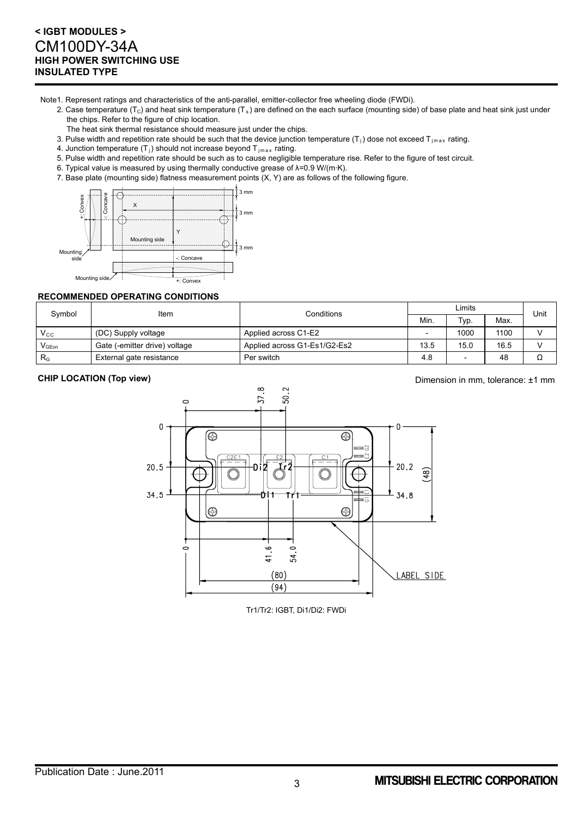Note1. Represent ratings and characteristics of the anti-parallel, emitter-collector free wheeling diode (FWDi).

- 2. Case temperature ( $T_c$ ) and heat sink temperature ( $T_s$ ) are defined on the each surface (mounting side) of base plate and heat sink just under the chips. Refer to the figure of chip location.
	- The heat sink thermal resistance should measure just under the chips.
- 3. Pulse width and repetition rate should be such that the device junction temperature  $(T_i)$  dose not exceed  $T_{jmax}$  rating.
- 4. Junction temperature  $(T_i)$  should not increase beyond  $T_{jmax}$  rating.
- 5. Pulse width and repetition rate should be such as to cause negligible temperature rise. Refer to the figure of test circuit.
- 6. Typical value is measured by using thermally conductive grease of λ=0.9 W/(m·K).
- 7. Base plate (mounting side) flatness measurement points (X, Y) are as follows of the following figure.



#### **RECOMMENDED OPERATING CONDITIONS**

| Symbol                                         | Item                          | Conditions                   | ∟imits |      |      | Unit |
|------------------------------------------------|-------------------------------|------------------------------|--------|------|------|------|
|                                                |                               |                              | Min.   | Typ. | Max. |      |
| $V_{\rm CC}$                                   | (DC) Supply voltage           | Applied across C1-E2         |        | 1000 | 1100 |      |
| $\mathsf{V}_{\mathsf{G}\mathsf{E}\mathsf{on}}$ | Gate (-emitter drive) voltage | Applied across G1-Es1/G2-Es2 | 13.5   | 15.0 | 16.5 |      |
| $R_{G}$                                        | External gate resistance      | Per switch                   | 4.8    |      | 48   | 77   |

**CHIP LOCATION (Top view) CHIP LOCATION (Top view) Dimension in mm, tolerance: ±1 mm** 



Tr1/Tr2: IGBT, Di1/Di2: FWDi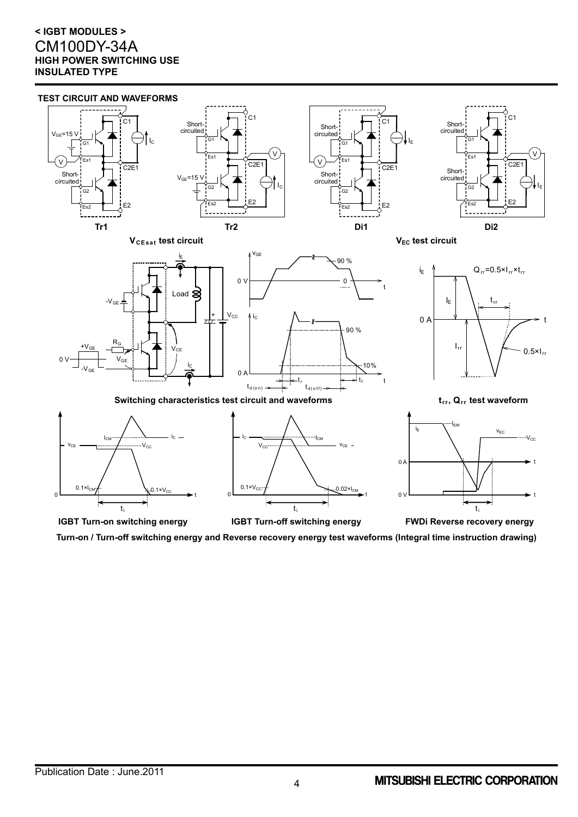

**Turn-on / Turn-off switching energy and Reverse recovery energy test waveforms (Integral time instruction drawing)**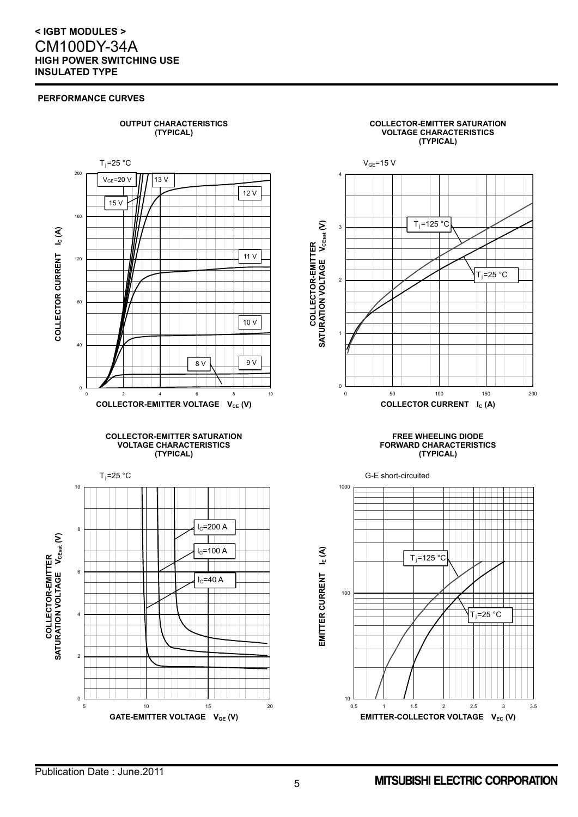#### **PERFORMANCE CURVES**

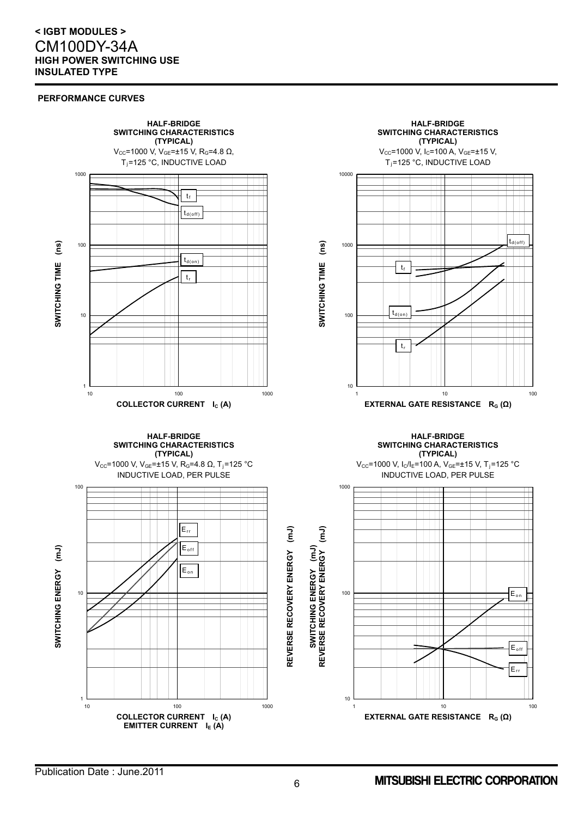#### **PERFORMANCE CURVES**

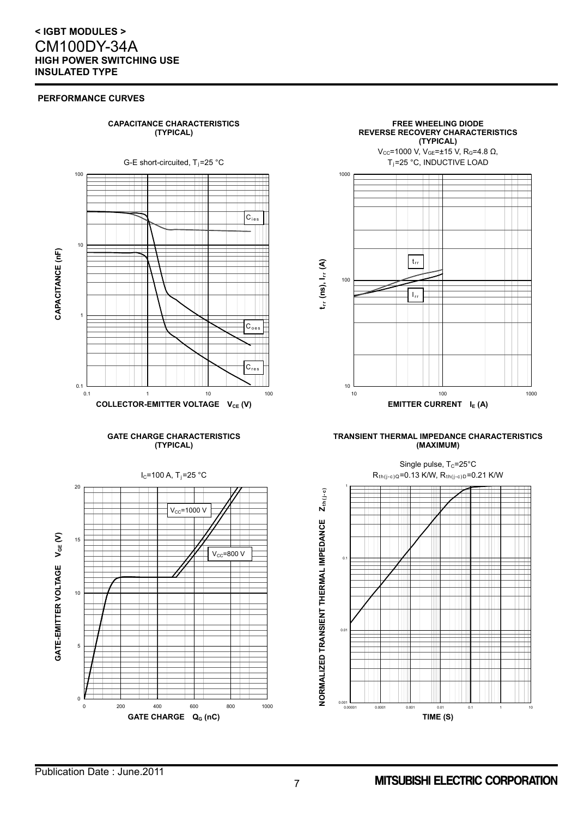#### **PERFORMANCE CURVES**





#### **TRANSIENT THERMAL IMPEDANCE CHARACTERISTICS (MAXIMUM)**



Publication Date : June.2011